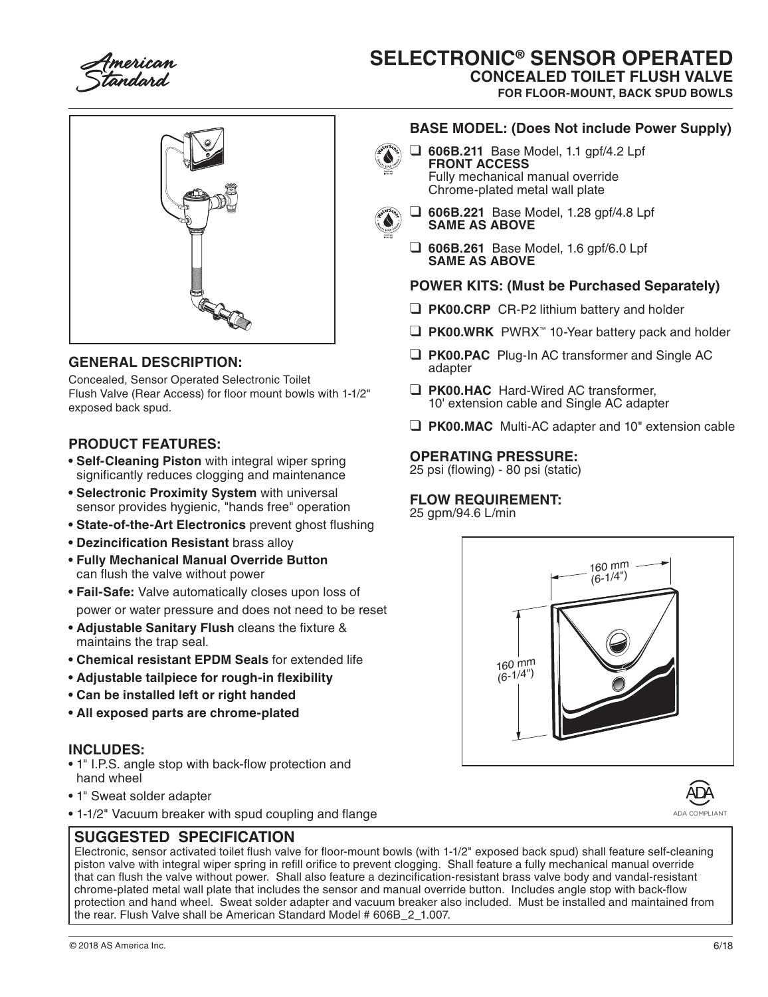tandard

# **SELECTRONIC® SENSOR OPERATED**

**CONCEALED TOILET FLUSH VALVE**

**FOR FLOOR-MOUNT, BACK SPUD BOWLS**



#### **GENERAL DESCRIPTION:**

Concealed, Sensor Operated Selectronic Toilet Flush Valve (Rear Access) for floor mount bowls with 1-1/2" exposed back spud.

## **PRODUCT FEATURES:**

- **Self-Cleaning Piston** with integral wiper spring significantly reduces clogging and maintenance
- **Selectronic Proximity System** with universal sensor provides hygienic, "hands free" operation
- **State-of-the-Art Electronics** prevent ghost flushing
- **Dezincification Resistant** brass alloy
- **Fully Mechanical Manual Override Button**  can flush the valve without power
- **Fail-Safe:** Valve automatically closes upon loss of power or water pressure and does not need to be reset
- **Adjustable Sanitary Flush** cleans the fixture & maintains the trap seal.
- **Chemical resistant EPDM Seals** for extended life
- **Adjustable tailpiece for rough-in flexibility**
- **Can be installed left or right handed**
- **All exposed parts are chrome-plated**

#### **INCLUDES:**

- 1" I.P.S. angle stop with back-flow protection and hand wheel
- 1" Sweat solder adapter
- 1-1/2" Vacuum breaker with spud coupling and flange

# **SUGGESTED SPECIFICATION**



❑ **606B.211** Base Model, 1.1 gpf/4.2 Lpf **FRONT ACCESS** Fully mechanical manual override Chrome-plated metal wall plate



- ❑ **606B.221** Base Model, 1.28 gpf/4.8 Lpf **SAME AS ABOVE**
- ❑ **606B.261** Base Model, 1.6 gpf/6.0 Lpf **SAME AS ABOVE**

## **POWER KITS: (Must be Purchased Separately)**

- ❑ **PK00.CRP** CR-P2 lithium battery and holder
- ❑ **PK00.WRK** PWRX™ 10-Year battery pack and holder
- ❑ **PK00.PAC** Plug-In AC transformer and Single AC adapter
- ❑ **PK00.HAC** Hard-Wired AC transformer, 10' extension cable and Single AC adapter
- ❑ **PK00.MAC** Multi-AC adapter and 10" extension cable

#### **OPERATING PRESSURE:**

25 psi (flowing) - 80 psi (static)

#### **FLOW REQUIREMENT:**

25 gpm/94.6 L/min



D ADA COMPLIANT

Electronic, sensor activated toilet flush valve for floor-mount bowls (with 1-1/2" exposed back spud) shall feature self-cleaning piston valve with integral wiper spring in refill orifice to prevent clogging. Shall feature a fully mechanical manual override that can flush the valve without power. Shall also feature a dezincification-resistant brass valve body and vandal-resistant chrome-plated metal wall plate that includes the sensor and manual override button. Includes angle stop with back-flow protection and hand wheel. Sweat solder adapter and vacuum breaker also included. Must be installed and maintained from the rear. Flush Valve shall be American Standard Model # 606B\_2\_1.007.